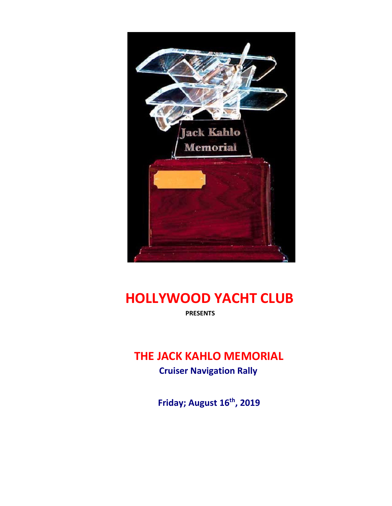

# **HOLLYWOOD YACHT CLUB**

**PRESENTS** 

# **THE JACK KAHLO MEMORIAL**

 **Cruiser Navigation Rally** 

 **Friday; August 16th, 2019**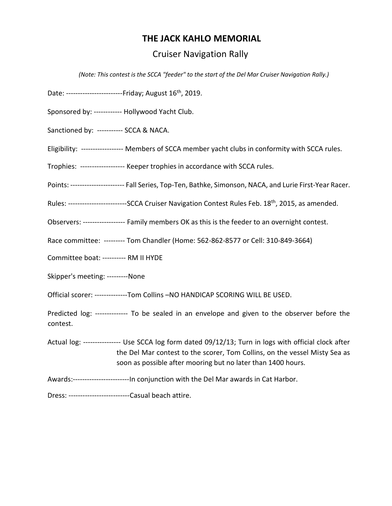## **THE JACK KAHLO MEMORIAL**

# Cruiser Navigation Rally

*(Note: This contest is the SCCA "feeder" to the start of the Del Mar Cruiser Navigation Rally.)* 

Date: ---------------------------Friday; August 16<sup>th</sup>, 2019.

Sponsored by: ------------ Hollywood Yacht Club.

- Sanctioned by: ----------- SCCA & NACA.
- Eligibility: ------------------ Members of SCCA member yacht clubs in conformity with SCCA rules.
- Trophies: ------------------- Keeper trophies in accordance with SCCA rules.
- Points: ----------------------- Fall Series, Top-Ten, Bathke, Simonson, NACA, and Lurie First-Year Racer.
- Rules: --------------------------SCCA Cruiser Navigation Contest Rules Feb. 18<sup>th</sup>, 2015, as amended.
- Observers: ------------------ Family members OK as this is the feeder to an overnight contest.
- Race committee: --------- Tom Chandler (Home: 562-862-8577 or Cell: 310-849-3664)
- Committee boat: ---------- RM II HYDE
- Skipper's meeting: ---------None
- Official scorer: --------------Tom Collins –NO HANDICAP SCORING WILL BE USED.

Predicted log: ------------- To be sealed in an envelope and given to the observer before the contest.

- Actual log: ---------------- Use SCCA log form dated 09/12/13; Turn in logs with official clock after the Del Mar contest to the scorer, Tom Collins, on the vessel Misty Sea as soon as possible after mooring but no later than 1400 hours.
- Awards:------------------------In conjunction with the Del Mar awards in Cat Harbor.

Dress: --------------------------Casual beach attire.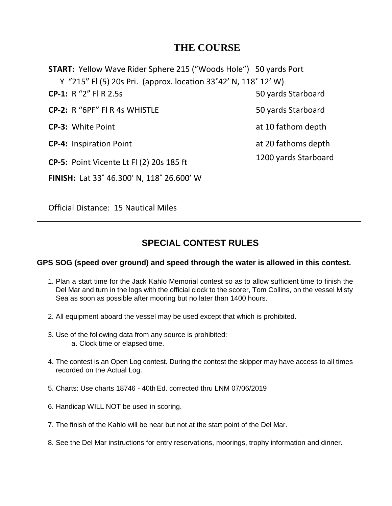# **THE COURSE**

**START:** Yellow Wave Rider Sphere 215 ("Woods Hole") 50 yards Port Y "215" Fl (5) 20s Pri. (approx. location 33˚42' N, 118˚ 12' W) **CP-1:** R "2" FI R 2.5s 50 yards Starboard **CP-2:** R "6PF" FI R 4s WHISTLE 50 yards Starboard **CP-3:** White Point **CP-3:** White Point **CP-4:** Inspiration Point **CP-4:** Inspiration Point **CP-5:** Point Vicente Lt Fl (2) 20s 185 ft **FINISH:** Lat 33˚ 46.300' N, 118˚ 26.600' W 1200 yards Starboard

Official Distance: 15 Nautical Miles

# **SPECIAL CONTEST RULES**

#### **GPS SOG (speed over ground) and speed through the water is allowed in this contest.**

- 1. Plan a start time for the Jack Kahlo Memorial contest so as to allow sufficient time to finish the Del Mar and turn in the logs with the official clock to the scorer, Tom Collins, on the vessel Misty Sea as soon as possible after mooring but no later than 1400 hours.
- 2. All equipment aboard the vessel may be used except that which is prohibited.
- 3. Use of the following data from any source is prohibited: a. Clock time or elapsed time.
- 4. The contest is an Open Log contest. During the contest the skipper may have access to all times recorded on the Actual Log.
- 5. Charts: Use charts 18746 40th Ed. corrected thru LNM 07/06/2019
- 6. Handicap WILL NOT be used in scoring.
- 7. The finish of the Kahlo will be near but not at the start point of the Del Mar.
- 8. See the Del Mar instructions for entry reservations, moorings, trophy information and dinner.